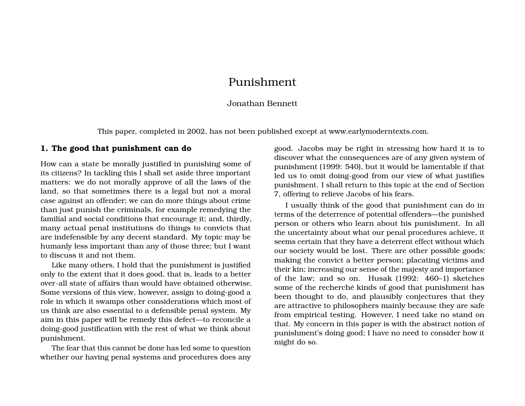# Punishment

#### Jonathan Bennett

This paper, completed in 2002, has not been published except at www.earlymoderntexts.com.

# **1. The good that punishment can do**

How can a state be morally justified in punishing some of its citizens? In tackling this I shall set aside three important matters: we do not morally approve of all the laws of the land, so that sometimes there is a legal but not a moral case against an offender; we can do more things about crime than just punish the criminals, for example remedying the familial and social conditions that encourage it; and, thirdly, many actual penal institutions do things to convicts that are indefensible by any decent standard. My topic may be humanly less important than any of those three; but I want to discuss it and not them.

Like many others, I hold that the punishment is justified only to the extent that it does good, that is, leads to a better over-all state of affairs than would have obtained otherwise. Some versions of this view, however, assign to doing-good a role in which it swamps other considerations which most of us think are also essential to a defensible penal system. My aim in this paper will be remedy this defect—to reconcile a doing-good justification with the rest of what we think about punishment.

The fear that this cannot be done has led some to question whether our having penal systems and procedures does any

good. Jacobs may be right in stressing how hard it is to discover what the consequences are of any given system of punishment (1999: 540), but it would be lamentable if that led us to omit doing-good from our view of what justifies punishment. I shall return to this topic at the end of Section 7, offering to relieve Jacobs of his fears.

I usually think of the good that punishment can do in terms of the deterrence of potential offenders—the punished person or others who learn about his punishment. In all the uncertainty about what our penal procedures achieve, it seems certain that they have a deterrent effect without which our society would be lost. There are other possible goods: making the convict a better person; placating victims and their kin; increasing our sense of the majesty and importance of the law; and so on. Husak (1992: 460–1) sketches some of the recherché kinds of good that punishment has been thought to do, and plausibly conjectures that they are attractive to philosophers mainly because they are safe from empirical testing. However, I need take no stand on that. My concern in this paper is with the abstract notion of punishment's doing good; I have no need to consider how it might do so.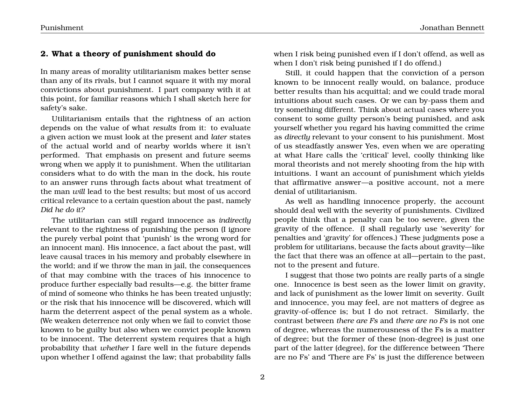## **2. What a theory of punishment should do**

In many areas of morality utilitarianism makes better sense than any of its rivals, but I cannot square it with my moral convictions about punishment. I part company with it at this point, for familiar reasons which I shall sketch here for safety's sake.

Utilitarianism entails that the rightness of an action depends on the value of what *results* from it: to evaluate a given action we must look at the present and *later* states of the actual world and of nearby worlds where it isn't performed. That emphasis on present and future seems wrong when we apply it to punishment. When the utilitarian considers what to do with the man in the dock, his route to an answer runs through facts about what treatment of the man *will* lead to the best results; but most of us accord critical relevance to a certain question about the past, namely *Did he do it?*

The utilitarian can still regard innocence as *indirectly* relevant to the rightness of punishing the person (I ignore the purely verbal point that 'punish' is the wrong word for an innocent man). His innocence, a fact about the past, will leave causal traces in his memory and probably elsewhere in the world; and if we throw the man in jail, the consequences of that may combine with the traces of his innocence to produce further especially bad results—e.g. the bitter frame of mind of someone who thinks he has been treated unjustly; or the risk that his innocence will be discovered, which will harm the deterrent aspect of the penal system as a whole. (We weaken deterrence not only when we fail to convict those known to be guilty but also when we convict people known to be innocent. The deterrent system requires that a high probability that *whether* I fare well in the future depends upon whether I offend against the law; that probability falls

when I risk being punished even if I don't offend, as well as when I don't risk being punished if I do offend.)

Still, it could happen that the conviction of a person known to be innocent really would, on balance, produce better results than his acquittal; and we could trade moral intuitions about such cases. Or we can by-pass them and try something different. Think about actual cases where you consent to some guilty person's being punished, and ask yourself whether you regard his having committed the crime as *directly* relevant to your consent to his punishment. Most of us steadfastly answer Yes, even when we are operating at what Hare calls the 'critical' level, coolly thinking like moral theorists and not merely shooting from the hip with intuitions. I want an account of punishment which yields that affirmative answer—a positive account, not a mere denial of utilitarianism.

As well as handling innocence properly, the account should deal well with the severity of punishments. Civilized people think that a penalty can be too severe, given the gravity of the offence. (I shall regularly use 'severity' for penalties and 'gravity' for offences.) These judgments pose a problem for utilitarians, because the facts about gravity—like the fact that there was an offence at all—pertain to the past, not to the present and future.

I suggest that those two points are really parts of a single one. Innocence is best seen as the lower limit on gravity, and lack of punishment as the lower limit on severity. Guilt and innocence, you may feel, are not matters of degree as gravity-of-offence is; but I do not retract. Similarly, the contrast between *there are Fs* and *there are no Fs* is not one of degree, whereas the numerousness of the Fs is a matter of degree; but the former of these (non-degree) is just one part of the latter (degree), for the difference between 'There are no Fs' and 'There are Fs' is just the difference between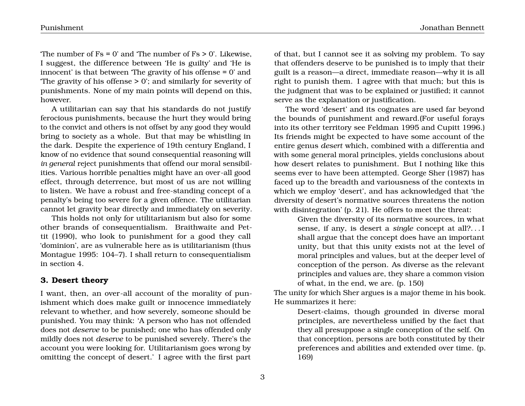'The number of Fs = 0' and 'The number of Fs > 0'. Likewise, I suggest, the difference between 'He is guilty' and 'He is innocent' is that between 'The gravity of his offense = 0' and 'The gravity of his offense > 0'; and similarly for severity of punishments. None of my main points will depend on this, however.

A utilitarian can say that his standards do not justify ferocious punishments, because the hurt they would bring to the convict and others is not offset by any good they would bring to society as a whole. But that may be whistling in the dark. Despite the experience of 19th century England, I know of no evidence that sound consequential reasoning will *in general* reject punishments that offend our moral sensibilities. Various horrible penalties might have an over-all good effect, through deterrence, but most of us are not willing to listen. We have a robust and free-standing concept of a penalty's being too severe for a given offence. The utilitarian cannot let gravity bear directly and immediately on severity.

This holds not only for utilitarianism but also for some other brands of consequentialism. Braithwaite and Pettit (1990), who look to punishment for a good they call 'dominion', are as vulnerable here as is utilitarianism (thus Montague 1995: 104–7). I shall return to consequentialism in section 4.

## **3. Desert theory**

I want, then, an over-all account of the morality of punishment which does make guilt or innocence immediately relevant to whether, and how severely, someone should be punished. You may think: 'A person who has not offended does not *deserve* to be punished; one who has offended only mildly does not *deserve* to be punished severely. There's the account you were looking for. Utilitarianism goes wrong by omitting the concept of desert.' I agree with the first part

of that, but I cannot see it as solving my problem. To say that offenders deserve to be punished is to imply that their guilt is a reason—a direct, immediate reason—why it is all right to punish them. I agree with that much; but this is the judgment that was to be explained or justified; it cannot serve as the explanation or justification.

The word 'desert' and its cognates are used far beyond the bounds of punishment and reward.(For useful forays into its other territory see Feldman 1995 and Cupitt 1996.) Its friends might be expected to have some account of the entire genus *desert* which, combined with a differentia and with some general moral principles, yields conclusions about how desert relates to punishment. But I nothing like this seems ever to have been attempted. George Sher (1987) has faced up to the breadth and variousness of the contexts in which we employ 'desert', and has acknowledged that 'the diversity of desert's normative sources threatens the notion with disintegration' (p. 21). He offers to meet the threat:

> Given the diversity of its normative sources, in what sense, if any, is desert a *single* concept at all?. . . I shall argue that the concept does have an important unity, but that this unity exists not at the level of moral principles and values, but at the deeper level of conception of the person. As diverse as the relevant principles and values are, they share a common vision of what, in the end, we are. (p. 150)

The unity for which Sher argues is a major theme in his book. He summarizes it here:

> Desert-claims, though grounded in diverse moral principles, are nevertheless unified by the fact that they all presuppose a single conception of the self. On that conception, persons are both constituted by their preferences and abilities and extended over time. (p. 169)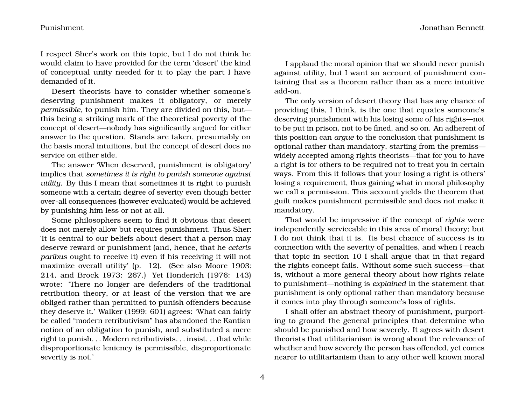I respect Sher's work on this topic, but I do not think he would claim to have provided for the term 'desert' the kind of conceptual unity needed for it to play the part I have demanded of it.

Desert theorists have to consider whether someone's deserving punishment makes it obligatory, or merely *permissible*, to punish him. They are divided on this, but this being a striking mark of the theoretical poverty of the concept of desert—nobody has significantly argued for either answer to the question. Stands are taken, presumably on the basis moral intuitions, but the concept of desert does no service on either side.

The answer 'When deserved, punishment is obligatory' implies that *sometimes it is right to punish someone against utility*. By this I mean that sometimes it is right to punish someone with a certain degree of severity even though better over-all consequences (however evaluated) would be achieved by punishing him less or not at all.

Some philosophers seem to find it obvious that desert does not merely allow but requires punishment. Thus Sher: 'It is central to our beliefs about desert that a person may deserve reward or punishment (and, hence, that he *ceteris paribus* ought to receive it) even if his receiving it will not maximize overall utility' (p. 12). (See also Moore 1903: 214, and Brock 1973: 267.) Yet Honderich (1976: 143) wrote: 'There no longer are defenders of the traditional retribution theory, or at least of the version that we are obliged rather than permitted to punish offenders because they deserve it.' Walker (1999: 601) agrees: 'What can fairly be called "modern retributivism" has abandoned the Kantian notion of an obligation to punish, and substituted a mere right to punish. . . Modern retributivists. . . insist. . . that while disproportionate leniency is permissible, disproportionate severity is not.'

I applaud the moral opinion that we should never punish against utility, but I want an account of punishment containing that as a theorem rather than as a mere intuitive add-on.

The only version of desert theory that has any chance of providing this, I think, is the one that equates someone's deserving punishment with his losing some of his rights—not to be put in prison, not to be fined, and so on. An adherent of this position can *argue* to the conclusion that punishment is optional rather than mandatory, starting from the premiss widely accepted among rights theorists—that for you to have a right is for others to be required not to treat you in certain ways. From this it follows that your losing a right is others' losing a requirement, thus gaining what in moral philosophy we call a permission. This account yields the theorem that guilt makes punishment permissible and does not make it mandatory.

That would be impressive if the concept of *rights* were independently serviceable in this area of moral theory; but I do not think that it is. Its best chance of success is in connection with the severity of penalties, and when I reach that topic in section 10 I shall argue that in that regard the rights concept fails. Without some such success—that is, without a more general theory about how rights relate to punishment—nothing is *explained* in the statement that punishment is only optional rather than mandatory because it comes into play through someone's loss of rights.

I shall offer an abstract theory of punishment, purporting to ground the general principles that determine who should be punished and how severely. It agrees with desert theorists that utilitarianism is wrong about the relevance of whether and how severely the person has offended, yet comes nearer to utilitarianism than to any other well known moral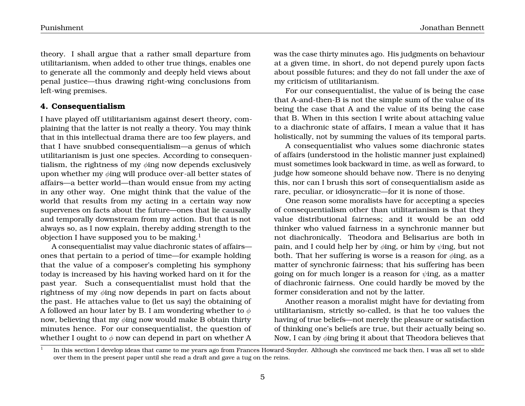theory. I shall argue that a rather small departure from utilitarianism, when added to other true things, enables one to generate all the commonly and deeply held views about penal justice—thus drawing right-wing conclusions from left-wing premises.

## **4. Consequentialism**

I have played off utilitarianism against desert theory, complaining that the latter is not really a theory. You may think that in this intellectual drama there are too few players, and that I have snubbed consequentialism—a genus of which utilitarianism is just one species. According to consequentialism, the rightness of my  $\phi$ ing now depends exclusively upon whether my  $\phi$ ing will produce over-all better states of affairs—a better world—than would ensue from my acting in any other way. One might think that the value of the world that results from my acting in a certain way now supervenes on facts about the future—ones that lie causally and temporally downstream from my action. But that is not always so, as I now explain, thereby adding strength to the objection I have supposed you to be making.<sup>1</sup>

A consequentialist may value diachronic states of affairs ones that pertain to a period of time—for example holding that the value of a composer's completing his symphony today is increased by his having worked hard on it for the past year. Such a consequentialist must hold that the rightness of my φing now depends in part on facts about the past. He attaches value to (let us say) the obtaining of A followed an hour later by B. I am wondering whether to  $\phi$ now, believing that my  $\phi$ ing now would make B obtain thirty minutes hence. For our consequentialist, the question of whether I ought to  $\phi$  now can depend in part on whether A was the case thirty minutes ago. His judgments on behaviour at a given time, in short, do not depend purely upon facts about possible futures; and they do not fall under the axe of my criticism of utilitarianism.

For our consequentialist, the value of is being the case that A-and-then-B is not the simple sum of the value of its being the case that A and the value of its being the case that B. When in this section I write about attaching value to a diachronic state of affairs, I mean a value that it has holistically, not by summing the values of its temporal parts.

A consequentialist who values some diachronic states of affairs (understood in the holistic manner just explained) must sometimes look backward in time, as well as forward, to judge how someone should behave now. There is no denying this, nor can I brush this sort of consequentialism aside as rare, peculiar, or idiosyncratic—for it is none of those.

One reason some moralists have for accepting a species of consequentialism other than utilitarianism is that they value distributional fairness; and it would be an odd thinker who valued fairness in a synchronic manner but not diachronically. Theodora and Belisarius are both in pain, and I could help her by  $\phi$ ing, or him by  $\psi$ ing, but not both. That her suffering is worse is a reason for  $\phi$ ing, as a matter of synchronic fairness; that his suffering has been going on for much longer is a reason for  $\psi$ ing, as a matter of diachronic fairness. One could hardly be moved by the former consideration and not by the latter.

Another reason a moralist might have for deviating from utilitarianism, strictly so-called, is that he too values the having of true beliefs—not merely the pleasure or satisfaction of thinking one's beliefs are true, but their actually being so. Now, I can by  $\phi$ ing bring it about that Theodora believes that

<sup>1</sup> In this section I develop ideas that came to me years ago from Frances Howard-Snyder. Although she convinced me back then, I was all set to slide over them in the present paper until she read a draft and gave a tug on the reins.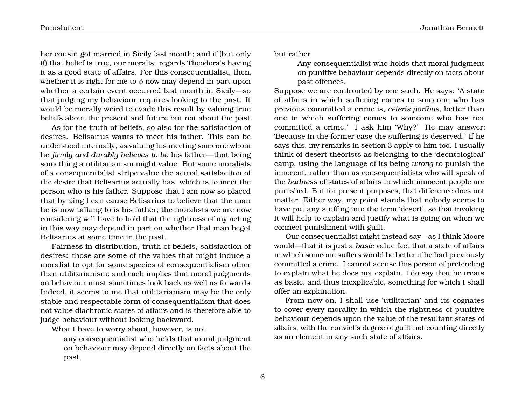her cousin got married in Sicily last month; and if (but only if) that belief is true, our moralist regards Theodora's having it as a good state of affairs. For this consequentialist, then, whether it is right for me to  $\phi$  now may depend in part upon whether a certain event occurred last month in Sicily—so that judging my behaviour requires looking to the past. It would be morally weird to evade this result by valuing true beliefs about the present and future but not about the past.

As for the truth of beliefs, so also for the satisfaction of desires. Belisarius wants to meet his father. This can be understood internally, as valuing his meeting someone whom he *firmly and durably believes to be* his father—that being something a utilitarianism might value. But some moralists of a consequentialist stripe value the actual satisfaction of the desire that Belisarius actually has, which is to meet the person who *is* his father. Suppose that I am now so placed that by  $\phi$ ing I can cause Belisarius to believe that the man he is now talking to is his father; the moralists we are now considering will have to hold that the rightness of my acting in this way may depend in part on whether that man begot Belisarius at some time in the past.

Fairness in distribution, truth of beliefs, satisfaction of desires: those are some of the values that might induce a moralist to opt for some species of consequentialism other than utilitarianism; and each implies that moral judgments on behaviour must sometimes look back as well as forwards. Indeed, it seems to me that utilitarianism may be the only stable and respectable form of consequentialism that does not value diachronic states of affairs and is therefore able to judge behaviour without looking backward.

What I have to worry about, however, is not

any consequentialist who holds that moral judgment on behaviour may depend directly on facts about the past,

but rather

Any consequentialist who holds that moral judgment on punitive behaviour depends directly on facts about past offences.

Suppose we are confronted by one such. He says: 'A state of affairs in which suffering comes to someone who has previous committed a crime is, *ceteris paribus*, better than one in which suffering comes to someone who has not committed a crime.' I ask him 'Why?' He may answer: 'Because in the former case the suffering is deserved.' If he says this, my remarks in section 3 apply to him too. I usually think of desert theorists as belonging to the 'deontological' camp, using the language of its being *wrong* to punish the innocent, rather than as consequentialists who will speak of the *badness* of states of affairs in which innocent people are punished. But for present purposes, that difference does not matter. Either way, my point stands that nobody seems to have put any stuffing into the term 'desert', so that invoking it will help to explain and justify what is going on when we connect punishment with guilt.

Our consequentialist might instead say—as I think Moore would—that it is just a *basic* value fact that a state of affairs in which someone suffers would be better if he had previously committed a crime. I cannot accuse this person of pretending to explain what he does not explain. I do say that he treats as basic, and thus inexplicable, something for which I shall offer an explanation.

From now on, I shall use 'utilitarian' and its cognates to cover every morality in which the rightness of punitive behaviour depends upon the value of the resultant states of affairs, with the convict's degree of guilt not counting directly as an element in any such state of affairs.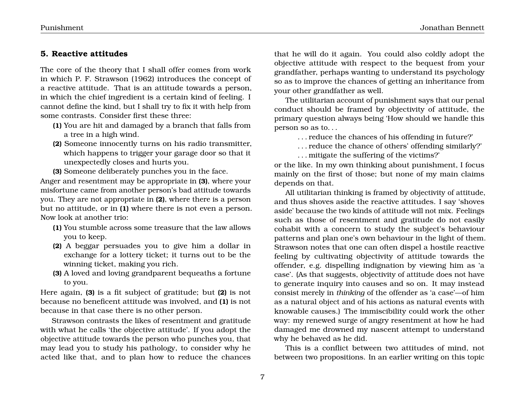### **5. Reactive attitudes**

The core of the theory that I shall offer comes from work in which P. F. Strawson (1962) introduces the concept of a reactive attitude. That is an attitude towards a person, in which the chief ingredient is a certain kind of feeling. I cannot define the kind, but I shall try to fix it with help from some contrasts. Consider first these three:

- **(1)** You are hit and damaged by a branch that falls from a tree in a high wind.
- **(2)** Someone innocently turns on his radio transmitter, which happens to trigger your garage door so that it unexpectedly closes and hurts you.
- **(3)** Someone deliberately punches you in the face.

Anger and resentment may be appropriate in **(3)**, where your misfortune came from another person's bad attitude towards you. They are not appropriate in **(2)**, where there is a person but no attitude, or in **(1)** where there is not even a person. Now look at another trio:

- **(1)** You stumble across some treasure that the law allows you to keep.
- **(2)** A beggar persuades you to give him a dollar in exchange for a lottery ticket; it turns out to be the winning ticket, making you rich.
- **(3)** A loved and loving grandparent bequeaths a fortune to you.

Here again, **(3)** is a fit subject of gratitude; but **(2)** is not because no beneficent attitude was involved, and **(1)** is not because in that case there is no other person.

Strawson contrasts the likes of resentment and gratitude with what he calls 'the objective attitude'. If you adopt the objective attitude towards the person who punches you, that may lead you to study his pathology, to consider why he acted like that, and to plan how to reduce the chances

that he will do it again. You could also coldly adopt the objective attitude with respect to the bequest from your grandfather, perhaps wanting to understand its psychology so as to improve the chances of getting an inheritance from your other grandfather as well.

The utilitarian account of punishment says that our penal conduct should be framed by objectivity of attitude, the primary question always being 'How should we handle this person so as to. . .

. . . reduce the chances of his offending in future?'

. . . reduce the chance of others' offending similarly?'

. . . mitigate the suffering of the victims?'

or the like. In my own thinking about punishment, I focus mainly on the first of those; but none of my main claims depends on that.

All utilitarian thinking is framed by objectivity of attitude, and thus shoves aside the reactive attitudes. I say 'shoves aside' because the two kinds of attitude will not mix. Feelings such as those of resentment and gratitude do not easily cohabit with a concern to study the subject's behaviour patterns and plan one's own behaviour in the light of them. Strawson notes that one can often dispel a hostile reactive feeling by cultivating objectivity of attitude towards the offender, e.g. dispelling indignation by viewing him as 'a case'. (As that suggests, objectivity of attitude does not have to generate inquiry into causes and so on. It may instead consist merely in *thinking* of the offender as 'a case'—of him as a natural object and of his actions as natural events with knowable causes.) The immiscibility could work the other way: my renewed surge of angry resentment at how he had damaged me drowned my nascent attempt to understand why he behaved as he did.

This is a conflict between two attitudes of mind, not between two propositions. In an earlier writing on this topic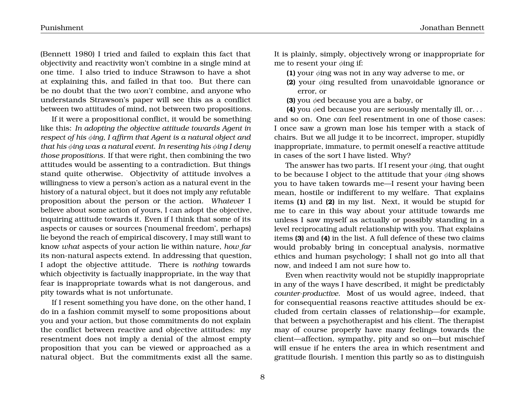(Bennett 1980) I tried and failed to explain this fact that objectivity and reactivity won't combine in a single mind at one time. I also tried to induce Strawson to have a shot at explaining this, and failed in that too. But there can be no doubt that the two *won't* combine, and anyone who understands Strawson's paper will see this as a conflict between two attitudes of mind, not between two propositions.

If it were a propositional conflict, it would be something like this: *In adopting the objective attitude towards Agent in respect of his φing, I affirm that Agent is a natural object and that his* φ*ing was a natural event. In resenting his* φ*ing I deny those propositions*. If that were right, then combining the two attitudes would be assenting to a contradiction. But things stand quite otherwise. Objectivity of attitude involves a willingness to view a person's action as a natural event in the history of a natural object, but it does not imply any refutable proposition about the person or the action. *Whatever* I believe about some action of yours, I can adopt the objective, inquiring attitude towards it. Even if I think that some of its aspects or causes or sources ('noumenal freedom', perhaps) lie beyond the reach of empirical discovery, I may still want to know *what* aspects of your action lie within nature, *how far* its non-natural aspects extend. In addressing that question, I adopt the objective attitude. There is *nothing* towards which objectivity is factually inappropriate, in the way that fear is inappropriate towards what is not dangerous, and pity towards what is not unfortunate.

If I resent something you have done, on the other hand, I do in a fashion commit myself to some propositions about you and your action, but those commitments do not explain the conflict between reactive and objective attitudes: my resentment does not imply a denial of the almost empty proposition that you can be viewed or approached as a natural object. But the commitments exist all the same. It is plainly, simply, objectively wrong or inappropriate for me to resent your  $\phi$ ing if:

- **(1)** your  $\phi$ ing was not in any way adverse to me, or
- **(2)** your φing resulted from unavoidable ignorance or error, or
- **(3)** you φed because you are a baby, or
- **(4)** you  $\phi$ ed because you are seriously mentally ill, or...

and so on. One *can* feel resentment in one of those cases: I once saw a grown man lose his temper with a stack of chairs. But we all judge it to be incorrect, improper, stupidly inappropriate, immature, to permit oneself a reactive attitude in cases of the sort I have listed. Why?

The answer has two parts. If I resent your  $\phi$ ing, that ought to be because I object to the attitude that your  $\phi$ ing shows you to have taken towards me—I resent your having been mean, hostile or indifferent to my welfare. That explains items **(1)** and **(2)** in my list. Next, it would be stupid for me to care in this way about your attitude towards me unless I saw myself as actually or possibly standing in a level reciprocating adult relationship with you. That explains items **(3)** and **(4)** in the list. A full defence of these two claims would probably bring in conceptual analysis, normative ethics and human psychology; I shall not go into all that now, and indeed I am not sure how to.

Even when reactivity would not be stupidly inappropriate in any of the ways I have described, it might be predictably *counter-productive*. Most of us would agree, indeed, that for consequential reasons reactive attitudes should be excluded from certain classes of relationship—for example, that between a psychotherapist and his client. The therapist may of course properly have many feelings towards the client—affection, sympathy, pity and so on—but mischief will ensue if he enters the area in which resentment and gratitude flourish. I mention this partly so as to distinguish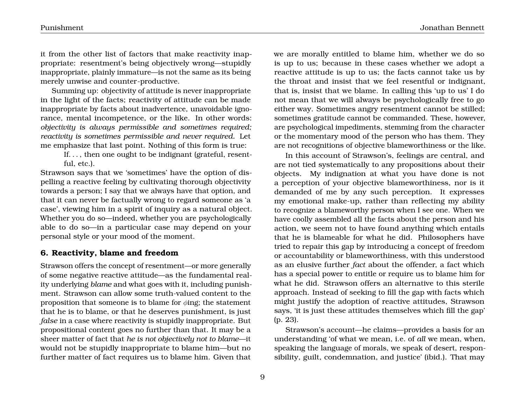it from the other list of factors that make reactivity inappropriate: resentment's being objectively wrong—stupidly inappropriate, plainly immature—is not the same as its being merely unwise and counter-productive.

Summing up: objectivity of attitude is never inappropriate in the light of the facts; reactivity of attitude can be made inappropriate by facts about inadvertence, unavoidable ignorance, mental incompetence, or the like. In other words: *objectivity is always permissible and sometimes required; reactivity is sometimes permissible and never required.* Let me emphasize that last point. Nothing of this form is true:

> If. . . , then one ought to be indignant (grateful, resentful, etc.).

Strawson says that we 'sometimes' have the option of dispelling a reactive feeling by cultivating thorough objectivity towards a person; I say that we always have that option, and that it can never be factually wrong to regard someone as 'a case', viewing him in a spirit of inquiry as a natural object. Whether you do so—indeed, whether you are psychologically able to do so—in a particular case may depend on your personal style or your mood of the moment.

# **6. Reactivity, blame and freedom**

Strawson offers the concept of resentment—or more generally of some negative reactive attitude—as the fundamental reality underlying *blame* and what goes with it, including punishment. Strawson can allow some truth-valued content to the proposition that someone is to blame for  $\phi$ ing; the statement that he is to blame, or that he deserves punishment, is just *false* in a case where reactivity is stupidly inappropriate. But propositional content goes no further than that. It may be a sheer matter of fact that *he is not objectively not to blame*—it would not be stupidly inappropriate to blame him—but no further matter of fact requires us to blame him. Given that

we are morally entitled to blame him, whether we do so is up to us; because in these cases whether we adopt a reactive attitude is up to us; the facts cannot take us by the throat and insist that we feel resentful or indignant, that is, insist that we blame. In calling this 'up to us' I do not mean that we will always be psychologically free to go either way. Sometimes angry resentment cannot be stilled; sometimes gratitude cannot be commanded. These, however, are psychological impediments, stemming from the character or the momentary mood of the person who has them. They are not recognitions of objective blameworthiness or the like.

In this account of Strawson's, feelings are central, and are not tied systematically to any propositions about their objects. My indignation at what you have done is not a perception of your objective blameworthiness, nor is it demanded of me by any such perception. It expresses my emotional make-up, rather than reflecting my ability to recognize a blameworthy person when I see one. When we have coolly assembled all the facts about the person and his action, we seem not to have found anything which entails that he is blameable for what he did. Philosophers have tried to repair this gap by introducing a concept of freedom or accountability or blameworthiness, with this understood as an elusive further *fact* about the offender, a fact which has a special power to entitle or require us to blame him for what he did. Strawson offers an alternative to this sterile approach. Instead of seeking to fill the gap with facts which might justify the adoption of reactive attitudes, Strawson says, 'it is just these attitudes themselves which fill the gap' (p. 23).

Strawson's account—he claims—provides a basis for an understanding 'of what we mean, i.e. of *all* we mean, when, speaking the language of morals, we speak of desert, responsibility, guilt, condemnation, and justice' (ibid.). That may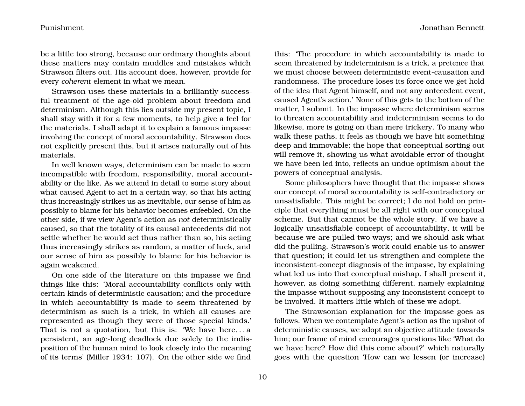be a little too strong, because our ordinary thoughts about these matters may contain muddles and mistakes which Strawson filters out. His account does, however, provide for every *coherent* element in what we mean.

Strawson uses these materials in a brilliantly successful treatment of the age-old problem about freedom and determinism. Although this lies outside my present topic, I shall stay with it for a few moments, to help give a feel for the materials. I shall adapt it to explain a famous impasse involving the concept of moral accountability. Strawson does not explicitly present this, but it arises naturally out of his materials.

In well known ways, determinism can be made to seem incompatible with freedom, responsibility, moral accountability or the like. As we attend in detail to some story about what caused Agent to act in a certain way, so that his acting thus increasingly strikes us as inevitable, our sense of him as possibly to blame for his behavior becomes enfeebled. On the other side, if we view Agent's action as *not* deterministically caused, so that the totality of its causal antecedents did not settle whether he would act thus rather than so, his acting thus increasingly strikes as random, a matter of luck, and our sense of him as possibly to blame for his behavior is again weakened.

On one side of the literature on this impasse we find things like this: 'Moral accountability conflicts only with certain kinds of deterministic causation; and the procedure in which accountability is made to seem threatened by determinism as such is a trick, in which all causes are represented as though they were of those special kinds.' That is not a quotation, but this is: 'We have here...a persistent, an age-long deadlock due solely to the indisposition of the human mind to look closely into the meaning of its terms' (Miller 1934: 107). On the other side we find

this: 'The procedure in which accountability is made to seem threatened by indeterminism is a trick, a pretence that we must choose between deterministic event-causation and randomness. The procedure loses its force once we get hold of the idea that Agent himself, and not any antecedent event, caused Agent's action.' None of this gets to the bottom of the matter, I submit. In the impasse where determinism seems to threaten accountability and indeterminism seems to do likewise, more is going on than mere trickery. To many who walk these paths, it feels as though we have hit something deep and immovable; the hope that conceptual sorting out will remove it, showing us what avoidable error of thought we have been led into, reflects an undue optimism about the powers of conceptual analysis.

Some philosophers have thought that the impasse shows our concept of moral accountability is self-contradictory or unsatisfiable. This might be correct; I do not hold on principle that everything must be all right with our conceptual scheme. But that cannot be the whole story. If we have a logically unsatisfiable concept of accountability, it will be because we are pulled two ways; and we should ask what did the pulling. Strawson's work could enable us to answer that question; it could let us strengthen and complete the inconsistent-concept diagnosis of the impasse, by explaining what led us into that conceptual mishap. I shall present it, however, as doing something different, namely explaining the impasse without supposing any inconsistent concept to be involved. It matters little which of these we adopt.

The Strawsonian explanation for the impasse goes as follows. When we contemplate Agent's action as the upshot of deterministic causes, we adopt an objective attitude towards him; our frame of mind encourages questions like 'What do we have here? How did this come about?' which naturally goes with the question 'How can we lessen (or increase)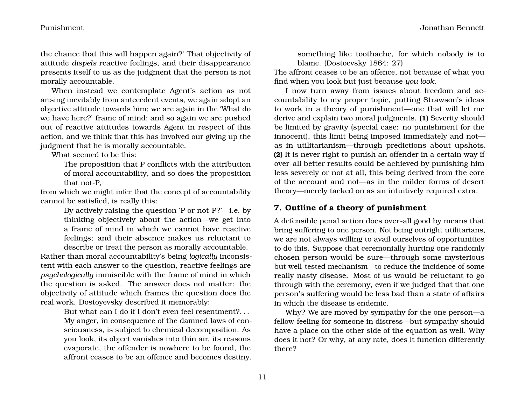the chance that this will happen again?' That objectivity of attitude *dispels* reactive feelings, and their disappearance presents itself to us as the judgment that the person is not morally accountable.

When instead we contemplate Agent's action as not arising inevitably from antecedent events, we again adopt an objective attitude towards him; we are again in the 'What do we have here?' frame of mind; and so again we are pushed out of reactive attitudes towards Agent in respect of this action, and we think that this has involved our giving up the judgment that he is morally accountable.

What seemed to be this:

The proposition that P conflicts with the attribution of moral accountability, and so does the proposition that not-P,

from which we might infer that the concept of accountability cannot be satisfied, is really this:

> By actively raising the question 'P or not-P?'—i.e. by thinking objectively about the action—we get into a frame of mind in which we cannot have reactive feelings; and their absence makes us reluctant to describe or treat the person as morally accountable.

Rather than moral accountability's being *logically* inconsistent with each answer to the question, reactive feelings are *psychologically* immiscible with the frame of mind in which the question is asked. The answer does not matter: the objectivity of attitude which frames the question does the real work. Dostoyevsky described it memorably:

> But what can I do if I don't even feel resentment?. . . My anger, in consequence of the damned laws of consciousness, is subject to chemical decomposition. As you look, its object vanishes into thin air, its reasons evaporate, the offender is nowhere to be found, the affront ceases to be an offence and becomes destiny,

something like toothache, for which nobody is to blame. (Dostoevsky 1864: 27)

The affront ceases to be an offence, not because of what you find when you look but just because *you look*.

I now turn away from issues about freedom and accountability to my proper topic, putting Strawson's ideas to work in a theory of punishment—one that will let me derive and explain two moral judgments. **(1)** Severity should be limited by gravity (special case: no punishment for the innocent), this limit being imposed immediately and not as in utilitarianism—through predictions about upshots. **(2)** It is never right to punish an offender in a certain way if over-all better results could be achieved by punishing him less severely or not at all, this being derived from the core of the account and not—as in the milder forms of desert theory—merely tacked on as an intuitively required extra.

## **7. Outline of a theory of punishment**

A defensible penal action does over-all good by means that bring suffering to one person. Not being outright utilitarians, we are not always willing to avail ourselves of opportunities to do this. Suppose that ceremonially hurting one randomly chosen person would be sure—through some mysterious but well-tested mechanism—to reduce the incidence of some really nasty disease. Most of us would be reluctant to go through with the ceremony, even if we judged that that one person's suffering would be less bad than a state of affairs in which the disease is endemic.

Why? We are moved by sympathy for the one person—a fellow-feeling for someone in distress—but sympathy should have a place on the other side of the equation as well. Why does it not? Or why, at any rate, does it function differently there?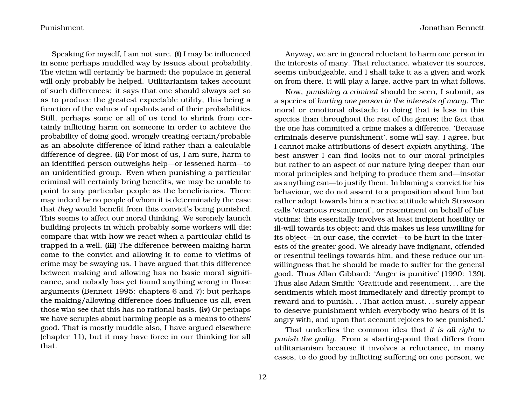Speaking for myself, I am not sure. **(i)** I may be influenced in some perhaps muddled way by issues about probability. The victim will certainly be harmed; the populace in general will only probably be helped. Utilitarianism takes account of such differences: it says that one should always act so as to produce the greatest expectable utility, this being a function of the values of upshots and of their probabilities. Still, perhaps some or all of us tend to shrink from certainly inflicting harm on someone in order to achieve the probability of doing good, wrongly treating certain/probable as an absolute difference of kind rather than a calculable difference of degree. **(ii)** For most of us, I am sure, harm to an identified person outweighs help—or lessened harm—to an unidentified group. Even when punishing a particular criminal will certainly bring benefits, we may be unable to point to any particular people as the beneficiaries. There may indeed *be* no people of whom it is determinately the case that *they* would benefit from this convict's being punished. This seems to affect our moral thinking. We serenely launch building projects in which probably some workers will die; compare that with how we react when a particular child is trapped in a well. **(iii)** The difference between making harm come to the convict and allowing it to come to victims of crime may be swaying us. I have argued that this difference between making and allowing has no basic moral significance, and nobody has yet found anything wrong in those arguments (Bennett 1995: chapters 6 and 7); but perhaps the making/allowing difference does influence us all, even those who see that this has no rational basis. **(iv)** Or perhaps we have scruples about harming people as a means to others' good. That is mostly muddle also, I have argued elsewhere (chapter 11), but it may have force in our thinking for all that.

Anyway, we are in general reluctant to harm one person in the interests of many. That reluctance, whatever its sources, seems unbudgeable, and I shall take it as a given and work on from there. It will play a large, active part in what follows.

Now, *punishing a criminal* should be seen, I submit, as a species of *hurting one person in the interests of many*. The moral or emotional obstacle to doing that is less in this species than throughout the rest of the genus; the fact that the one has committed a crime makes a difference. 'Because criminals deserve punishment', some will say. I agree, but I cannot make attributions of desert *explain* anything. The best answer I can find looks not to our moral principles but rather to an aspect of our nature lying deeper than our moral principles and helping to produce them and—insofar as anything can—to justify them. In blaming a convict for his behaviour, we do not assent to a proposition about him but rather adopt towards him a reactive attitude which Strawson calls 'vicarious resentment', or resentment on behalf of his victims; this essentially involves at least incipient hostility or ill-will towards its object; and this makes us less unwilling for its object—in our case, the convict—to be hurt in the interests of the greater good. We already have indignant, offended or resentful feelings towards him, and these reduce our unwillingness that he should be made to suffer for the general good. Thus Allan Gibbard: 'Anger is punitive' (1990: 139). Thus also Adam Smith: 'Gratitude and resentment. . . are the sentiments which most immediately and directly prompt to reward and to punish. . . That action must. . . surely appear to deserve punishment which everybody who hears of it is angry with, and upon that account rejoices to see punished.'

That underlies the common idea that *it is all right to punish the guilty*. From a starting-point that differs from utilitarianism because it involves a reluctance, in many cases, to do good by inflicting suffering on one person, we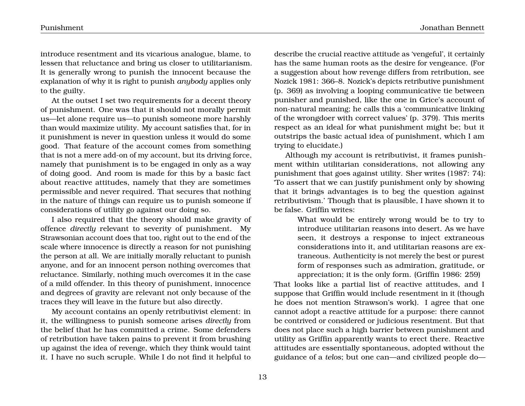introduce resentment and its vicarious analogue, blame, to lessen that reluctance and bring us closer to utilitarianism. It is generally wrong to punish the innocent because the explanation of why it is right to punish *anybody* applies only to the guilty.

At the outset I set two requirements for a decent theory of punishment. One was that it should not morally permit us—let alone require us—to punish someone more harshly than would maximize utility. My account satisfies that, for in it punishment is never in question unless it would do some good. That feature of the account comes from something that is not a mere add-on of my account, but its driving force, namely that punishment is to be engaged in only as a way of doing good. And room is made for this by a basic fact about reactive attitudes, namely that they are sometimes permissible and never required. That secures that nothing in the nature of things can require us to punish someone if considerations of utility go against our doing so.

I also required that the theory should make gravity of offence *directly* relevant to severity of punishment. My Strawsonian account does that too, right out to the end of the scale where innocence is directly a reason for not punishing the person at all. We are initially morally reluctant to punish anyone, and for an innocent person nothing overcomes that reluctance. Similarly, nothing much overcomes it in the case of a mild offender. In this theory of punishment, innocence and degrees of gravity are relevant not only because of the traces they will leave in the future but also directly.

My account contains an openly retributivist element: in it, the willingness to punish someone arises *directly* from the belief that he has committed a crime. Some defenders of retribution have taken pains to prevent it from brushing up against the idea of revenge, which they think would taint it. I have no such scruple. While I do not find it helpful to

describe the crucial reactive attitude as 'vengeful', it certainly has the same human roots as the desire for vengeance. (For a suggestion about how revenge differs from retribution, see Nozick 1981: 366–8. Nozick's depicts retributive punishment (p. 369) as involving a looping communicative tie between punisher and punished, like the one in Grice's account of non-natural meaning; he calls this a 'communicative linking of the wrongdoer with correct values' (p. 379). This merits respect as an ideal for what punishment might be; but it outstrips the basic actual idea of punishment, which I am trying to elucidate.)

Although my account is retributivist, it frames punishment within utilitarian considerations, not allowing any punishment that goes against utility. Sher writes (1987: 74): 'To assert that we can justify punishment only by showing that it brings advantages is to beg the question against retributivism.' Though that is plausible, I have shown it to be false. Griffin writes:

> What would be entirely wrong would be to try to introduce utilitarian reasons into desert. As we have seen, it destroys a response to inject extraneous considerations into it, and utilitarian reasons are extraneous. Authenticity is not merely the best or purest form of responses such as admiration, gratitude, or appreciation; it is the only form. (Griffin 1986: 259)

That looks like a partial list of reactive attitudes, and I suppose that Griffin would include resentment in it (though he does not mention Strawson's work). I agree that one cannot adopt a reactive attitude for a purpose: there cannot be contrived or considered or judicious resentment. But that does not place such a high barrier between punishment and utility as Griffin apparently wants to erect there. Reactive attitudes are essentially spontaneous, adopted without the guidance of a *telos*; but one can—and civilized people do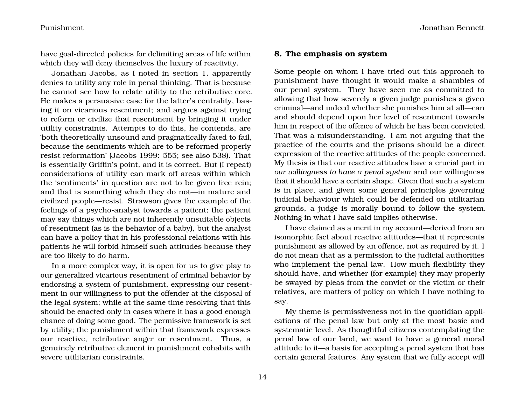have goal-directed policies for delimiting areas of life within which they will deny themselves the luxury of reactivity.

Jonathan Jacobs, as I noted in section 1, apparently denies to utility any role in penal thinking. That is because he cannot see how to relate utility to the retributive core. He makes a persuasive case for the latter's centrality, basing it on vicarious resentment; and argues against trying to reform or civilize that resentment by bringing it under utility constraints. Attempts to do this, he contends, are 'both theoretically unsound and pragmatically fated to fail, because the sentiments which are to be reformed properly resist reformation' (Jacobs 1999: 555; see also 538). That is essentially Griffin's point, and it is correct. But (I repeat) considerations of utility can mark off areas within which the 'sentiments' in question are not to be given free rein; and that is something which they do not—in mature and civilized people—resist. Strawson gives the example of the feelings of a psycho-analyst towards a patient; the patient may say things which are not inherently unsuitable objects of resentment (as is the behavior of a baby), but the analyst can have a policy that in his professional relations with his patients he will forbid himself such attitudes because they are too likely to do harm.

In a more complex way, it is open for us to give play to our generalized vicarious resentment of criminal behavior by endorsing a system of punishment, expressing our resentment in our willingness to put the offender at the disposal of the legal system; while at the same time resolving that this should be enacted only in cases where it has a good enough chance of doing some good. The permissive framework is set by utility; the punishment within that framework expresses our reactive, retributive anger or resentment. Thus, a genuinely retributive element in punishment cohabits with severe utilitarian constraints.

#### **8. The emphasis on system**

Some people on whom I have tried out this approach to punishment have thought it would make a shambles of our penal system. They have seen me as committed to allowing that how severely a given judge punishes a given criminal—and indeed whether she punishes him at all—can and should depend upon her level of resentment towards him in respect of the offence of which he has been convicted. That was a misunderstanding. I am not arguing that the practice of the courts and the prisons should be a direct expression of the reactive attitudes of the people concerned. My thesis is that our reactive attitudes have a crucial part in *our willingness to have a penal system* and our willingness that it should have a certain shape. Given that such a system is in place, and given some general principles governing judicial behaviour which could be defended on utilitarian grounds, a judge is morally bound to follow the system. Nothing in what I have said implies otherwise.

I have claimed as a merit in my account—derived from an isomorphic fact about reactive attitudes—that it represents punishment as allowed by an offence, not as required by it. I do not mean that as a permission to the judicial authorities who implement the penal law. How much flexibility they should have, and whether (for example) they may properly be swayed by pleas from the convict or the victim or their relatives, are matters of policy on which I have nothing to say.

My theme is permissiveness not in the quotidian applications of the penal law but only at the most basic and systematic level. As thoughtful citizens contemplating the penal law of our land, we want to have a general moral attitude to it—a basis for accepting a penal system that has certain general features. Any system that we fully accept will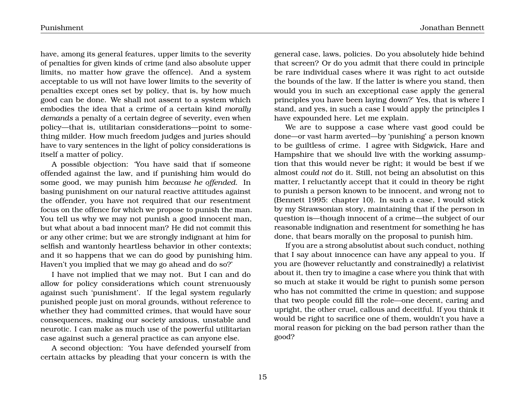have, among its general features, upper limits to the severity of penalties for given kinds of crime (and also absolute upper limits, no matter how grave the offence). And a system acceptable to us will not have lower limits to the severity of penalties except ones set by policy, that is, by how much good can be done. We shall not assent to a system which embodies the idea that a crime of a certain kind *morally demands* a penalty of a certain degree of severity, even when policy—that is, utilitarian considerations—point to something milder. How much freedom judges and juries should have to vary sentences in the light of policy considerations is itself a matter of policy.

A possible objection: 'You have said that if someone offended against the law, and if punishing him would do some good, we may punish him *because he offended*. In basing punishment on our natural reactive attitudes against the offender, you have not required that our resentment focus on the offence for which we propose to punish the man. You tell us why we may not punish a good innocent man, but what about a bad innocent man? He did not commit this or any other crime; but we are strongly indignant at him for selfish and wantonly heartless behavior in other contexts; and it so happens that we can do good by punishing him. Haven't you implied that we may go ahead and do so?'

I have not implied that we may not. But I can and do allow for policy considerations which count strenuously against such 'punishment'. If the legal system regularly punished people just on moral grounds, without reference to whether they had committed crimes, that would have sour consequences, making our society anxious, unstable and neurotic. I can make as much use of the powerful utilitarian case against such a general practice as can anyone else.

A second objection: 'You have defended yourself from certain attacks by pleading that your concern is with the

general case, laws, policies. Do you absolutely hide behind that screen? Or do you admit that there could in principle be rare individual cases where it was right to act outside the bounds of the law. If the latter is where you stand, then would you in such an exceptional case apply the general principles you have been laying down?' Yes, that is where I stand, and yes, in such a case I would apply the principles I have expounded here. Let me explain.

We are to suppose a case where vast good could be done—or vast harm averted—by 'punishing' a person known to be guiltless of crime. I agree with Sidgwick, Hare and Hampshire that we should live with the working assumption that this would never be right; it would be best if we almost *could not* do it. Still, not being an absolutist on this matter, I reluctantly accept that it could in theory be right to punish a person known to be innocent, and wrong not to (Bennett 1995: chapter 10). In such a case, I would stick by my Strawsonian story, maintaining that if the person in question is—though innocent of a crime—the subject of our reasonable indignation and resentment for something he has done, that bears morally on the proposal to punish him.

If you are a strong absolutist about such conduct, nothing that I say about innocence can have any appeal to you. If you are (however reluctantly and constrainedly) a relativist about it, then try to imagine a case where you think that with so much at stake it would be right to punish some person who has not committed the crime in question; and suppose that two people could fill the role—one decent, caring and upright, the other cruel, callous and deceitful. If you think it would be right to sacrifice one of them, wouldn't you have a moral reason for picking on the bad person rather than the good?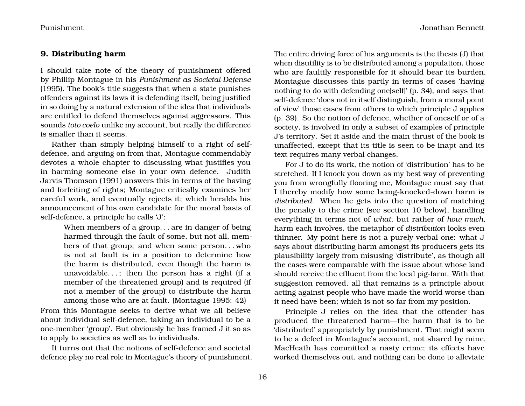## **9. Distributing harm**

I should take note of the theory of punishment offered by Phillip Montague in his *Punishment as Societal-Defense* (1995). The book's title suggests that when a state punishes offenders against its laws it is defending itself, being justified in so doing by a natural extension of the idea that individuals are entitled to defend themselves against aggressors. This sounds *toto coelo* unlike my account, but really the difference is smaller than it seems.

Rather than simply helping himself to a right of selfdefence, and arguing on from that, Montague commendably devotes a whole chapter to discussing what justifies you in harming someone else in your own defence. Judith Jarvis Thomson (1991) answers this in terms of the having and forfeiting of rights; Montague critically examines her careful work, and eventually rejects it; which heralds his announcement of his own candidate for the moral basis of self-defence, a principle he calls 'J':

> When members of a group. . . are in danger of being harmed through the fault of some, but not all, members of that group; and when some person. . . who is not at fault is in a position to determine how the harm is distributed, even though the harm is unavoidable...; then the person has a right (if a member of the threatened group) and is required (if not a member of the group) to distribute the harm among those who are at fault. (Montague 1995: 42)

From this Montague seeks to derive what we all believe about individual self-defence, taking an individual to be a one-member 'group'. But obviously he has framed J it so as to apply to societies as well as to individuals.

It turns out that the notions of self-defence and societal defence play no real role in Montague's theory of punishment. The entire driving force of his arguments is the thesis (J) that when disutility is to be distributed among a population, those who are faultily responsible for it should bear its burden. Montague discusses this partly in terms of cases 'having nothing to do with defending one[self]' (p. 34), and says that self-defence 'does not in itself distinguish, from a moral point of view' those cases from others to which principle J applies (p. 39). So the notion of defence, whether of oneself or of a society, is involved in only a subset of examples of principle J's territory. Set it aside and the main thrust of the book is unaffected, except that its title is seen to be inapt and its text requires many verbal changes.

For J to do its work, the notion of 'distribution' has to be stretched. If I knock you down as my best way of preventing you from wrongfully flooring me, Montague must say that I thereby modify how some being-knocked-down harm is *distributed*. When he gets into the question of matching the penalty to the crime (see section 10 below), handling everything in terms not of *what*, but rather of *how much*, harm each involves, the metaphor of *distribution* looks even thinner. My point here is not a purely verbal one: what J says about distributing harm amongst its producers gets its plausibility largely from misusing 'distribute', as though all the cases were comparable with the issue about whose land should receive the effluent from the local pig-farm. With that suggestion removed, all that remains is a principle about acting against people who have made the world worse than it need have been; which is not so far from my position.

Principle J relies on the idea that the offender has produced the threatened harm—the harm that is to be 'distributed' appropriately by punishment. That might seem to be a defect in Montague's account, not shared by mine. MacHeath has committed a nasty crime; its effects have worked themselves out, and nothing can be done to alleviate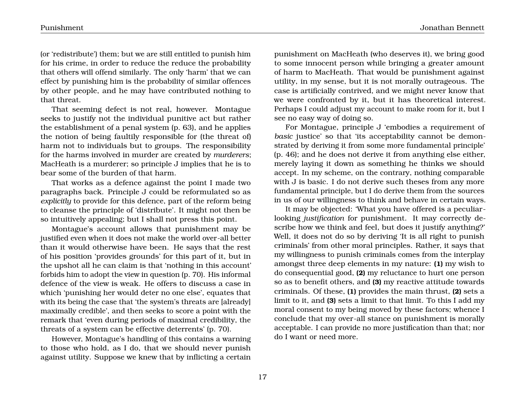(or 'redistribute') them; but we are still entitled to punish him for his crime, in order to reduce the reduce the probability that others will offend similarly. The only 'harm' that we can effect by punishing him is the probability of similar offences by other people, and he may have contributed nothing to that threat.

That seeming defect is not real, however. Montague seeks to justify not the individual punitive act but rather the establishment of a penal system (p. 63), and he applies the notion of being faultily responsible for (the threat of) harm not to individuals but to groups. The responsibility for the harms involved in murder are created by *murderers*; MacHeath is a murderer; so principle J implies that he is to bear some of the burden of that harm.

That works as a defence against the point I made two paragraphs back. Principle J could be reformulated so as *explicitly* to provide for this defence, part of the reform being to cleanse the principle of 'distribute'. It might not then be so intuitively appealing; but I shall not press this point.

Montague's account allows that punishment may be justified even when it does not make the world over-all better than it would otherwise have been. He says that the rest of his position 'provides grounds' for this part of it, but in the upshot all he can claim is that 'nothing in this account' forbids him to adopt the view in question (p. 70). His informal defence of the view is weak. He offers to discuss a case in which 'punishing her would deter no one else', equates that with its being the case that 'the system's threats are [already] maximally credible', and then seeks to score a point with the remark that 'even during periods of maximal credibility, the threats of a system can be effective deterrents' (p. 70).

However, Montague's handling of this contains a warning to those who hold, as I do, that we should never punish against utility. Suppose we knew that by inflicting a certain punishment on MacHeath (who deserves it), we bring good to some innocent person while bringing a greater amount of harm to MacHeath. That would be punishment against utility, in my sense, but it is not morally outrageous. The case is artificially contrived, and we might never know that we were confronted by it, but it has theoretical interest. Perhaps I could adjust my account to make room for it, but I see no easy way of doing so.

For Montague, principle J 'embodies a requirement of *basic* justice' so that 'its acceptability cannot be demonstrated by deriving it from some more fundamental principle' (p. 46); and he does not derive it from anything else either, merely laying it down as something he thinks we should accept. In my scheme, on the contrary, nothing comparable with J is basic. I do not derive such theses from any more fundamental principle, but I do derive them from the sources in us of our willingness to think and behave in certain ways.

It may be objected: 'What you have offered is a peculiarlooking *justification* for punishment. It may correctly describe how we think and feel, but does it justify anything?' Well, it does not do so by deriving 'It is all right to punish criminals' from other moral principles. Rather, it says that my willingness to punish criminals comes from the interplay amongst three deep elements in my nature: **(1)** my wish to do consequential good, **(2)** my reluctance to hurt one person so as to benefit others, and **(3)** my reactive attitude towards criminals. Of these, **(1)** provides the main thrust, **(2)** sets a limit to it, and **(3)** sets a limit to that limit. To this I add my moral consent to my being moved by these factors; whence I conclude that my over-all stance on punishment is morally acceptable. I can provide no more justification than that; nor do I want or need more.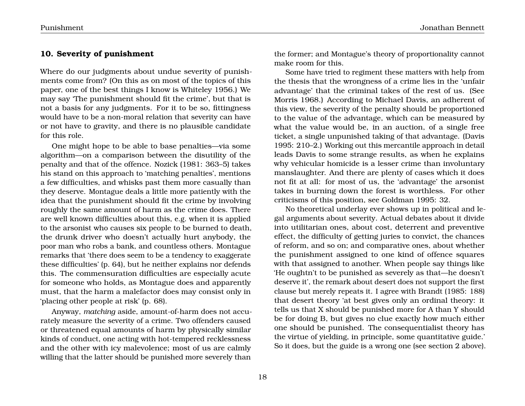# **10. Severity of punishment**

Where do our judgments about undue severity of punishments come from? (On this as on most of the topics of this paper, one of the best things I know is Whiteley 1956.) We may say 'The punishment should fit the crime', but that is not a basis for any judgments. For it to be so, fittingness would have to be a non-moral relation that severity can have or not have to gravity, and there is no plausible candidate for this role.

One might hope to be able to base penalties—via some algorithm—on a comparison between the disutility of the penalty and that of the offence. Nozick (1981: 363–5) takes his stand on this approach to 'matching penalties', mentions a few difficulties, and whisks past them more casually than they deserve. Montague deals a little more patiently with the idea that the punishment should fit the crime by involving roughly the same amount of harm as the crime does. There are well known difficulties about this, e.g. when it is applied to the arsonist who causes six people to be burned to death, the drunk driver who doesn't actually hurt anybody, the poor man who robs a bank, and countless others. Montague remarks that 'there does seem to be a tendency to exaggerate these difficulties' (p. 64), but he neither explains nor defends this. The commensuration difficulties are especially acute for someone who holds, as Montague does and apparently must, that the harm a malefactor does may consist only in 'placing other people at risk' (p. 68).

Anyway, *matching* aside, amount-of-harm does not accurately measure the severity of a crime. Two offenders caused or threatened equal amounts of harm by physically similar kinds of conduct, one acting with hot-tempered recklessness and the other with icy malevolence; most of us are calmly willing that the latter should be punished more severely than

the former; and Montague's theory of proportionality cannot make room for this.

Some have tried to regiment these matters with help from the thesis that the wrongness of a crime lies in the 'unfair advantage' that the criminal takes of the rest of us. (See Morris 1968.) According to Michael Davis, an adherent of this view, the severity of the penalty should be proportioned to the value of the advantage, which can be measured by what the value would be, in an auction, of a single free ticket, a single unpunished taking of that advantage. (Davis 1995: 210–2.) Working out this mercantile approach in detail leads Davis to some strange results, as when he explains why vehicular homicide is a lesser crime than involuntary manslaughter. And there are plenty of cases which it does not fit at all: for most of us, the 'advantage' the arsonist takes in burning down the forest is worthless. For other criticisms of this position, see Goldman 1995: 32.

No theoretical underlay ever shows up in political and legal arguments about severity. Actual debates about it divide into utilitarian ones, about cost, deterrent and preventive effect, the difficulty of getting juries to convict, the chances of reform, and so on; and comparative ones, about whether the punishment assigned to one kind of offence squares with that assigned to another. When people say things like 'He oughtn't to be punished as severely as that—he doesn't deserve it', the remark about desert does not support the first clause but merely repeats it. I agree with Brandt (1985: 188) that desert theory 'at best gives only an ordinal theory: it tells us that X should be punished more for A than Y should be for doing B, but gives no clue exactly how much either one should be punished. The consequentialist theory has the virtue of yielding, in principle, some quantitative guide.' So it does, but the guide is a wrong one (see section 2 above).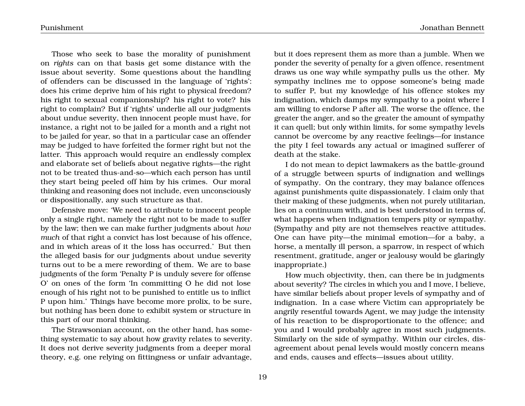Those who seek to base the morality of punishment on *rights* can on that basis get some distance with the issue about severity. Some questions about the handling of offenders can be discussed in the language of 'rights': does his crime deprive him of his right to physical freedom? his right to sexual companionship? his right to vote? his right to complain? But if 'rights' underlie all our judgments about undue severity, then innocent people must have, for instance, a right not to be jailed for a month and a right not to be jailed for year, so that in a particular case an offender may be judged to have forfeited the former right but not the latter. This approach would require an endlessly complex and elaborate set of beliefs about negative rights—the right not to be treated thus-and-so—which each person has until they start being peeled off him by his crimes. Our moral thinking and reasoning does not include, even unconsciously or dispositionally, any such structure as that.

Defensive move: 'We need to attribute to innocent people only a single right, namely the right not to be made to suffer by the law; then we can make further judgments about *how much* of that right a convict has lost because of his offence, and in which areas of it the loss has occurred.' But then the alleged basis for our judgments about undue severity turns out to be a mere rewording of them. We are to base judgments of the form 'Penalty P is unduly severe for offense O' on ones of the form 'In committing O he did not lose enough of his right not to be punished to entitle us to inflict P upon him.' Things have become more prolix, to be sure, but nothing has been done to exhibit system or structure in this part of our moral thinking.

The Strawsonian account, on the other hand, has something systematic to say about how gravity relates to severity. It does not derive severity judgments from a deeper moral theory, e.g. one relying on fittingness or unfair advantage,

but it does represent them as more than a jumble. When we ponder the severity of penalty for a given offence, resentment draws us one way while sympathy pulls us the other. My sympathy inclines me to oppose someone's being made to suffer P, but my knowledge of his offence stokes my indignation, which damps my sympathy to a point where I am willing to endorse P after all. The worse the offence, the greater the anger, and so the greater the amount of sympathy it can quell; but only within limits, for some sympathy levels cannot be overcome by any reactive feelings—for instance the pity I feel towards any actual or imagined sufferer of death at the stake.

I do not mean to depict lawmakers as the battle-ground of a struggle between spurts of indignation and wellings of sympathy. On the contrary, they may balance offences against punishments quite dispassionately. I claim only that their making of these judgments, when not purely utilitarian, lies on a continuum with, and is best understood in terms of, what happens when indignation tempers pity or sympathy. (Sympathy and pity are not themselves reactive attitudes. One can have pity—the minimal emotion—for a baby, a horse, a mentally ill person, a sparrow, in respect of which resentment, gratitude, anger or jealousy would be glaringly inappropriate.)

How much objectivity, then, can there be in judgments about severity? The circles in which you and I move, I believe, have similar beliefs about proper levels of sympathy and of indignation. In a case where Victim can appropriately be angrily resentful towards Agent, we may judge the intensity of his reaction to be disproportionate to the offence; and you and I would probably agree in most such judgments. Similarly on the side of sympathy. Within our circles, disagreement about penal levels would mostly concern means and ends, causes and effects—issues about utility.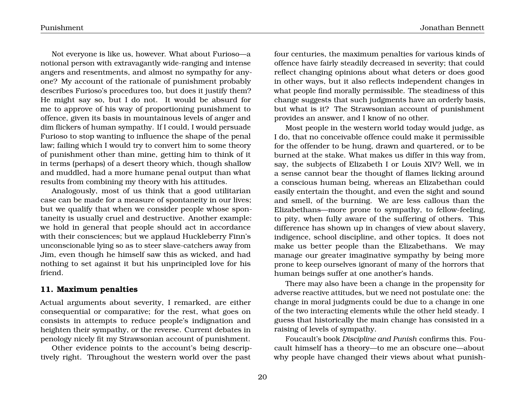Not everyone is like us, however. What about Furioso—a notional person with extravagantly wide-ranging and intense angers and resentments, and almost no sympathy for anyone? My account of the rationale of punishment probably describes Furioso's procedures too, but does it justify them? He might say so, but I do not. It would be absurd for me to approve of his way of proportioning punishment to offence, given its basis in mountainous levels of anger and dim flickers of human sympathy. If I could, I would persuade Furioso to stop wanting to influence the shape of the penal law; failing which I would try to convert him to some theory of punishment other than mine, getting him to think of it in terms (perhaps) of a desert theory which, though shallow and muddled, had a more humane penal output than what results from combining my theory with his attitudes.

Analogously, most of us think that a good utilitarian case can be made for a measure of spontaneity in our lives; but we qualify that when we consider people whose spontaneity is usually cruel and destructive. Another example: we hold in general that people should act in accordance with their consciences; but we applaud Huckleberry Finn's unconscionable lying so as to steer slave-catchers away from Jim, even though he himself saw this as wicked, and had nothing to set against it but his unprincipled love for his friend.

### **11. Maximum penalties**

Actual arguments about severity, I remarked, are either consequential or comparative; for the rest, what goes on consists in attempts to reduce people's indignation and heighten their sympathy, or the reverse. Current debates in penology nicely fit my Strawsonian account of punishment.

Other evidence points to the account's being descriptively right. Throughout the western world over the past four centuries, the maximum penalties for various kinds of offence have fairly steadily decreased in severity; that could reflect changing opinions about what deters or does good in other ways, but it also reflects independent changes in what people find morally permissible. The steadiness of this change suggests that such judgments have an orderly basis, but what is it? The Strawsonian account of punishment provides an answer, and I know of no other.

Most people in the western world today would judge, as I do, that no conceivable offence could make it permissible for the offender to be hung, drawn and quartered, or to be burned at the stake. What makes us differ in this way from, say, the subjects of Elizabeth I or Louis XIV? Well, we in a sense cannot bear the thought of flames licking around a conscious human being, whereas an Elizabethan could easily entertain the thought, and even the sight and sound and smell, of the burning. We are less callous than the Elizabethans—more prone to sympathy, to fellow-feeling, to pity, when fully aware of the suffering of others. This difference has shown up in changes of view about slavery, indigence, school discipline, and other topics. It does not make us better people than the Elizabethans. We may manage our greater imaginative sympathy by being more prone to keep ourselves ignorant of many of the horrors that human beings suffer at one another's hands.

There may also have been a change in the propensity for adverse reactive attitudes, but we need not postulate one: the change in moral judgments could be due to a change in one of the two interacting elements while the other held steady. I guess that historically the main change has consisted in a raising of levels of sympathy.

Foucault's book *Discipline and Punish* confirms this. Foucault himself has a theory—to me an obscure one—about why people have changed their views about what punish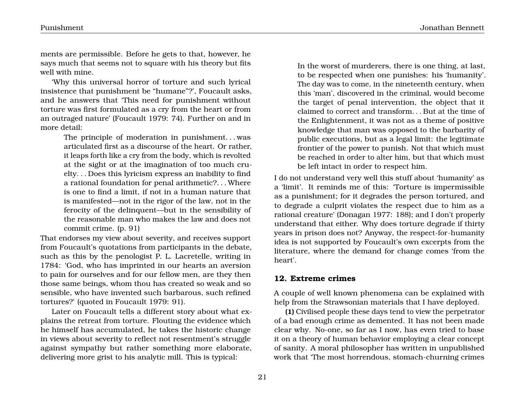ments are permissible. Before he gets to that, however, he says much that seems not to square with his theory but fits well with mine.

'Why this universal horror of torture and such lyrical insistence that punishment be "humane"?', Foucault asks, and he answers that 'This need for punishment without torture was first formulated as a cry from the heart or from an outraged nature' (Foucault 1979: 74). Further on and in more detail:

> The principle of moderation in punishment. . . was articulated first as a discourse of the heart. Or rather, it leaps forth like a cry from the body, which is revolted at the sight or at the imagination of too much cruelty. . . Does this lyricism express an inability to find a rational foundation for penal arithmetic?. . . Where is one to find a limit, if not in a human nature that is manifested—not in the rigor of the law, not in the ferocity of the delinquent—but in the sensibility of the reasonable man who makes the law and does not commit crime. (p. 91)

That endorses my view about severity, and receives support from Foucault's quotations from participants in the debate, such as this by the penologist P. L. Lacretelle, writing in 1784: 'God, who has imprinted in our hearts an aversion to pain for ourselves and for our fellow men, are they then those same beings, whom thou has created so weak and so sensible, who have invented such barbarous, such refined tortures?' (quoted in Foucault 1979: 91).

Later on Foucault tells a different story about what explains the retreat from torture. Flouting the evidence which he himself has accumulated, he takes the historic change in views about severity to reflect not resentment's struggle against sympathy but rather something more elaborate, delivering more grist to his analytic mill. This is typical:

In the worst of murderers, there is one thing, at last, to be respected when one punishes: his 'humanity'. The day was to come, in the nineteenth century, when this 'man', discovered in the criminal, would become the target of penal intervention, the object that it claimed to correct and transform. . . But at the time of the Enlightenment, it was not as a theme of positive knowledge that man was opposed to the barbarity of public executions, but as a legal limit: the legitimate frontier of the power to punish. Not that which must be reached in order to alter him, but that which must be left intact in order to respect him.

I do not understand very well this stuff about 'humanity' as a 'limit'. It reminds me of this: 'Torture is impermissible as a punishment; for it degrades the person tortured, and to degrade a culprit violates the respect due to him as a rational creature' (Donagan 1977: 188); and I don't properly understand that either. Why does torture degrade if thirty years in prison does not? Anyway, the respect-for-humanity idea is not supported by Foucault's own excerpts from the literature, where the demand for change comes 'from the heart'.

#### **12. Extreme crimes**

A couple of well known phenomena can be explained with help from the Strawsonian materials that I have deployed.

**(1)** Civilised people these days tend to view the perpetrator of a bad enough crime as demented. It has not been made clear why. No-one, so far as I now, has even tried to base it on a theory of human behavior employing a clear concept of sanity. A moral philosopher has written in unpublished work that 'The most horrendous, stomach-churning crimes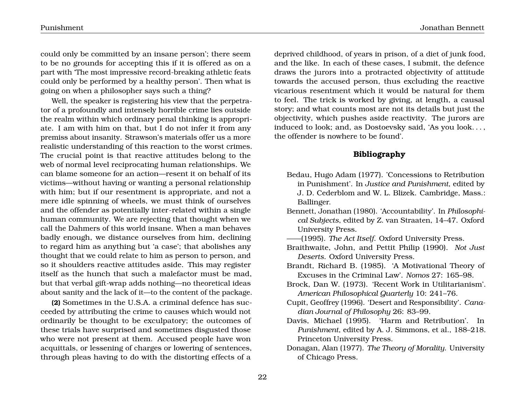could only be committed by an insane person'; there seem to be no grounds for accepting this if it is offered as on a part with 'The most impressive record-breaking athletic feats could only be performed by a healthy person'. Then what is going on when a philosopher says such a thing?

Well, the speaker is registering his view that the perpetrator of a profoundly and intensely horrible crime lies outside the realm within which ordinary penal thinking is appropriate. I am with him on that, but I do not infer it from any premiss about insanity. Strawson's materials offer us a more realistic understanding of this reaction to the worst crimes. The crucial point is that reactive attitudes belong to the web of normal level reciprocating human relationships. We can blame someone for an action—resent it on behalf of its victims—without having or wanting a personal relationship with him; but if our resentment is appropriate, and not a mere idle spinning of wheels, we must think of ourselves and the offender as potentially inter-related within a single human community. We are rejecting that thought when we call the Dahmers of this world insane. When a man behaves badly enough, we distance ourselves from him, declining to regard him as anything but 'a case'; that abolishes any thought that we could relate to him as person to person, and so it shoulders reactive attitudes aside. This may register itself as the hunch that such a malefactor must be mad, but that verbal gift-wrap adds nothing—no theoretical ideas about sanity and the lack of it—to the content of the package.

**(2)** Sometimes in the U.S.A. a criminal defence has succeeded by attributing the crime to causes which would not ordinarily be thought to be exculpatory; the outcomes of these trials have surprised and sometimes disgusted those who were not present at them. Accused people have won acquittals, or lessening of charges or lowering of sentences, through pleas having to do with the distorting effects of a

deprived childhood, of years in prison, of a diet of junk food, and the like. In each of these cases, I submit, the defence draws the jurors into a protracted objectivity of attitude towards the accused person, thus excluding the reactive vicarious resentment which it would be natural for them to feel. The trick is worked by giving, at length, a causal story; and what counts most are not its details but just the objectivity, which pushes aside reactivity. The jurors are induced to look; and, as Dostoevsky said, 'As you look. . . , the offender is nowhere to be found'.

# **Bibliography**

- Bedau, Hugo Adam (1977). 'Concessions to Retribution in Punishment'. In *Justice and Punishment*, edited by J. D. Cederblom and W. L. Blizek. Cambridge, Mass.: Ballinger.
- Bennett, Jonathan (1980). 'Accountability'. In *Philosophical Subjects*, edited by Z. van Straaten, 14–47. Oxford University Press.
- ——(1995). *The Act Itself*. Oxford University Press.
- Braithwaite, John, and Pettit Philip (1990). *Not Just Deserts*. Oxford University Press.
- Brandt, Richard B. (1985). 'A Motivational Theory of Excuses in the Criminal Law'. *Nomos* 27: 165–98.
- Brock, Dan W. (1973). 'Recent Work in Utilitarianism'. *American Philosophical Quarterly* 10: 241–76.
- Cupit, Geoffrey (1996). 'Desert and Responsibility'. *Canadian Journal of Philosophy* 26: 83–99.
- Davis, Michael (1995). 'Harm and Retribution'. In *Punishment*, edited by A. J. Simmons, et al., 188–218. Princeton University Press.
- Donagan, Alan (1977). *The Theory of Morality*. University of Chicago Press.